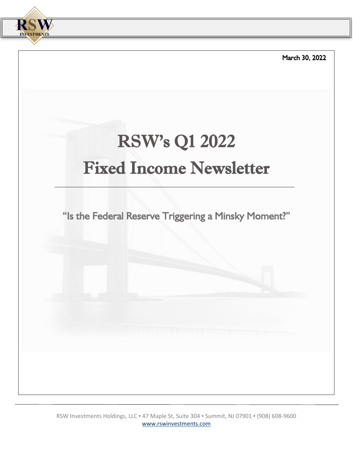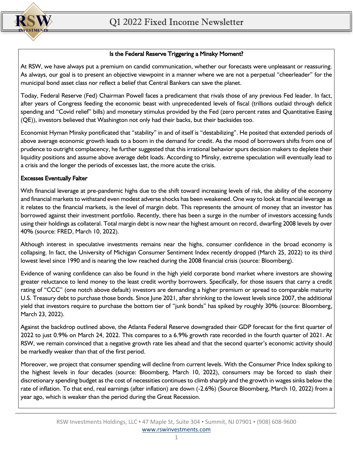#### Is the Federal Reserve Triggering a Minsky Moment?

At RSW, we have always put a premium on candid communication, whether our forecasts were unpleasant or reassuring. As always, our goal is to present an objective viewpoint in a manner where we are not a perpetual "cheerleader" for the municipal bond asset class nor reflect a belief that Central Bankers can save the planet.

Today, Federal Reserve (Fed) Chairman Powell faces a predicament that rivals those of any previous Fed leader. In fact, after years of Congress feeding the economic beast with unprecedented levels of fiscal (trillions outlaid through deficit spending and "Covid relief" bills) and monetary stimulus provided by the Fed (zero percent rates and Quantitative Easing (QE)), investors believed that Washington not only had their backs, but their backsides too.

Economist Hyman Minsky pontificated that "stability" in and of itself is "destabilizing". He posited that extended periods of above average economic growth leads to a boom in the demand for credit. As the mood of borrowers shifts from one of prudence to outright complacency, he further suggested that this irrational behavior spurs decision makers to deplete their liquidity positions and assume above average debt loads. According to Minsky, extreme speculation will eventually lead to a crisis and the longer the periods of excesses last, the more acute the crisis.

#### Excesses Eventually Falter

With financial leverage at pre-pandemic highs due to the shift toward increasing levels of risk, the ability of the economy and financial markets to withstand even modest adverse shocks has been weakened. One way to look at financial leverage as it relates to the financial markets, is the level of margin debt. This represents the amount of money that an investor has borrowed against their investment portfolio. Recently, there has been a surge in the number of investors accessing funds using their holdings as collateral. Total margin debt is now near the highest amount on record, dwarfing 2008 levels by over 40% (source: FRED, March 10, 2022).

Although interest in speculative investments remains near the highs, consumer confidence in the broad economy is collapsing. In fact, the University of Michigan Consumer Sentiment Index recently dropped (March 25, 2022) to its third lowest level since 1990 and is nearing the low reached during the 2008 financial crisis (source: Bloomberg).

Evidence of waning confidence can also be found in the high yield corporate bond market where investors are showing greater reluctance to lend money to the least credit worthy borrowers. Specifically, for those issuers that carry a credit rating of "CCC" (one notch above default) investors are demanding a higher premium or spread to comparable maturity U.S. Treasury debt to purchase those bonds. Since June 2021, after shrinking to the lowest levels since 2007, the additional yield that investors require to purchase the bottom tier of "junk bonds" has spiked by roughly 30% (source: Bloomberg, March 23, 2022).

Against the backdrop outlined above, the Atlanta Federal Reserve downgraded their GDP forecast for the first quarter of 2022 to just 0.9% on March 24, 2022. This compares to a 6.9% growth rate recorded in the fourth quarter of 2021. At RSW, we remain convinced that a negative growth rate lies ahead and that the second quarter's economic activity should be markedly weaker than that of the first period.

Moreover, we project that consumer spending will decline from current levels. With the Consumer Price Index spiking to the highest levels in four decades (source: Bloomberg, March 10, 2022), consumers may be forced to slash their discretionary spending budget as the cost of necessities continues to climb sharply and the growth in wages sinks below the rate of inflation. To that end, real earnings (after inflation) are down (-2.6%) (Source Bloomberg, March 10, 2022) from a year ago, which is weaker than the period during the Great Recession.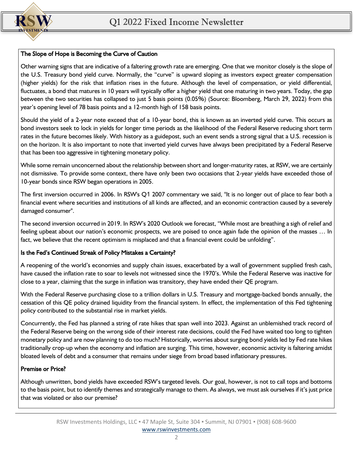

### The Slope of Hope is Becoming the Curve of Caution

Other warning signs that are indicative of a faltering growth rate are emerging. One that we monitor closely is the slope of the U.S. Treasury bond yield curve. Normally, the "curve" is upward sloping as investors expect greater compensation (higher yields) for the risk that inflation rises in the future. Although the level of compensation, or yield differential, fluctuates, a bond that matures in 10 years will typically offer a higher yield that one maturing in two years. Today, the gap between the two securities has collapsed to just 5 basis points (0.05%) (Source: Bloomberg, March 29, 2022) from this year's opening level of 78 basis points and a 12-month high of 158 basis points.

Should the yield of a 2-year note exceed that of a 10-year bond, this is known as an inverted yield curve. This occurs as bond investors seek to lock in yields for longer time periods as the likelihood of the Federal Reserve reducing short term rates in the future becomes likely. With history as a guidepost, such an event sends a strong signal that a U.S. recession is on the horizon. It is also important to note that inverted yield curves have always been precipitated by a Federal Reserve that has been too aggressive in tightening monetary policy.

While some remain unconcerned about the relationship between short and longer-maturity rates, at RSW, we are certainly not dismissive. To provide some context, there have only been two occasions that 2-year yields have exceeded those of 10-year bonds since RSW began operations in 2005.

The first inversion occurred in 2006. In RSW's Q1 2007 commentary we said, "It is no longer out of place to fear both a financial event where securities and institutions of all kinds are affected, and an economic contraction caused by a severely damaged consumer".

The second inversion occurred in 2019. In RSW's 2020 Outlook we forecast, "While most are breathing a sigh of relief and feeling upbeat about our nation's economic prospects, we are poised to once again fade the opinion of the masses … In fact, we believe that the recent optimism is misplaced and that a financial event could be unfolding".

#### Is the Fed's Continued Streak of Policy Mistakes a Certainty?

A reopening of the world's economies and supply chain issues, exacerbated by a wall of government supplied fresh cash, have caused the inflation rate to soar to levels not witnessed since the 1970's. While the Federal Reserve was inactive for close to a year, claiming that the surge in inflation was transitory, they have ended their QE program.

With the Federal Reserve purchasing close to a trillion dollars in U.S. Treasury and mortgage-backed bonds annually, the cessation of this QE policy drained liquidity from the financial system. In effect, the implementation of this Fed tightening policy contributed to the substantial rise in market yields.

Concurrently, the Fed has planned a string of rate hikes that span well into 2023. Against an unblemished track record of the Federal Reserve being on the wrong side of their interest rate decisions, could the Fed have waited too long to tighten monetary policy and are now planning to do too much? Historically, worries about surging bond yields led by Fed rate hikes traditionally crop‐up when the economy and inflation are surging. This time, however, economic activity is faltering amidst bloated levels of debt and a consumer that remains under siege from broad based inflationary pressures.

#### Premise or Price?

Although unwritten, bond yields have exceeded RSW's targeted levels. Our goal, however, is not to call tops and bottoms to the basis point, but to identify themes and strategically manage to them. As always, we must ask ourselves if it's just price that was violated or also our premise?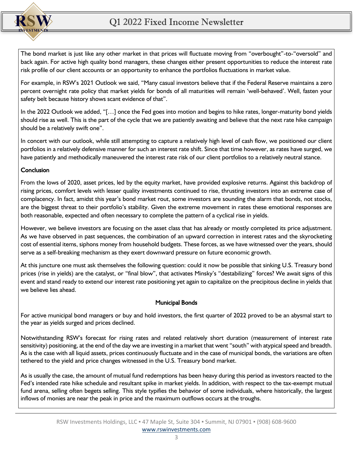

# Q1 2022 Fixed Income Newsletter

The bond market is just like any other market in that prices will fluctuate moving from "overbought"-to-"oversold" and back again. For active high quality bond managers, these changes either present opportunities to reduce the interest rate risk profile of our client accounts or an opportunity to enhance the portfolios fluctuations in market value.

For example, in RSW's 2021 Outlook we said, "Many casual investors believe that if the Federal Reserve maintains a zero percent overnight rate policy that market yields for bonds of all maturities will remain 'well-behaved'. Well, fasten your safety belt because history shows scant evidence of that".

In the 2022 Outlook we added, "[…] once the Fed goes into motion and begins to hike rates, longer-maturity bond yields should rise as well. This is the part of the cycle that we are patiently awaiting and believe that the next rate hike campaign should be a relatively swift one".

In concert with our outlook, while still attempting to capture a relatively high level of cash flow, we positioned our client portfolios in a relatively defensive manner for such an interest rate shift. Since that time however, as rates have surged, we have patiently and methodically maneuvered the interest rate risk of our client portfolios to a relatively neutral stance.

#### **Conclusion**

From the lows of 2020, asset prices, led by the equity market, have provided explosive returns. Against this backdrop of rising prices, comfort levels with lesser quality investments continued to rise, thrusting investors into an extreme case of complacency. In fact, amidst this year's bond market rout, some investors are sounding the alarm that bonds, not stocks, are the biggest threat to their portfolio's stability. Given the extreme movement in rates these emotional responses are both reasonable, expected and often necessary to complete the pattern of a cyclical rise in yields.

However, we believe investors are focusing on the asset class that has already or mostly completed its price adjustment. As we have observed in past sequences, the combination of an upward correction in interest rates and the skyrocketing cost of essential items, siphons money from household budgets. These forces, as we have witnessed over the years, should serve as a self-breaking mechanism as they exert downward pressure on future economic growth.

At this juncture one must ask themselves the following question: could it now be possible that sinking U.S. Treasury bond prices (rise in yields) are the catalyst, or "final blow", that activates Minsky's "destabilizing" forces? We await signs of this event and stand ready to extend our interest rate positioning yet again to capitalize on the precipitous decline in yields that we believe lies ahead.

#### Municipal Bonds

For active municipal bond managers or buy and hold investors, the first quarter of 2022 proved to be an abysmal start to the year as yields surged and prices declined.

Notwithstanding RSW's forecast for rising rates and related relatively short duration (measurement of interest rate sensitivity) positioning, at the end of the day we are investing in a market that went "south" with atypical speed and breadth. As is the case with all liquid assets, prices continuously fluctuate and in the case of municipal bonds, the variations are often tethered to the yield and price changes witnessed in the U.S. Treasury bond market.

As is usually the case, the amount of mutual fund redemptions has been heavy during this period as investors reacted to the Fed's intended rate hike schedule and resultant spike in market yields. In addition, with respect to the tax-exempt mutual fund arena, selling often begets selling. This style typifies the behavior of some individuals, where historically, the largest inflows of monies are near the peak in price and the maximum outflows occurs at the troughs.